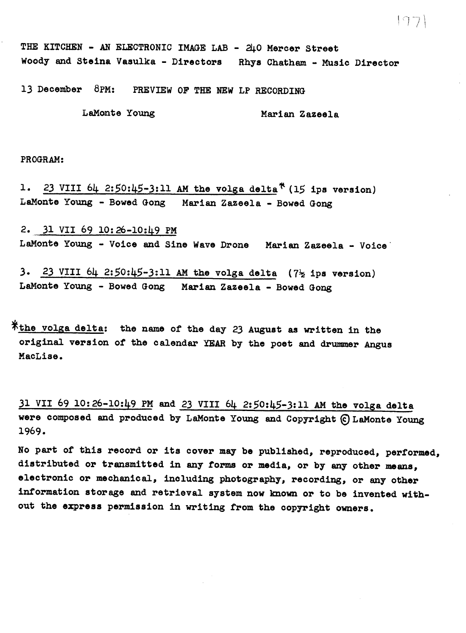THE KITCHEN - AN ELECTRONIC IMAGE LAB - 240 Mercer Street Woody and Steina Vasulka - Directors Rhys Chatham - Music Director

 $\Box$ 

13 December 8PM: PREVIEW OF THE NEW LP RECORDING

LaMonte Young Marian Zazeela

PROGRAM:

1. 23 VIII 64 2:50:45-3:11 AM the volga delta<sup>\*</sup> (15 ips version) LaMonte Young - Bowed Gong Marian Zazeela - Bowed Gong

2. 31 VII 69 10:26-10:49 PM LaMonte Young - Voice and Sine Wave Drone Marian Zazeela - Voice'

3. 23 VIII 64 2:50:45-3:11 AM the volga delta ( $7\frac{1}{2}$  ips version) LaMonte Young - Bowed Gong Marian Zazeela - Bowed Gong

\*the volga delta: the name of the day <sup>23</sup> August as written in the original version of the calendar YEAR by the poet and drummer Angus MacLise .

31 VII 69 10:26-10:49 PM and 23 VIII 64 2:50:45-3:11 AM the volga delta were composed and produced by LaMonte Young and Copyright @ Lamonte Young 1969 .

No part of this record or its cover may be published, reproduced, performed, distributed or transmitted in any forms or media, or by any other means, electronic or mechanical, including photography, recording, or any other information storage and retrieval system now known or to be invented without the express permission in writing from the copyright owners .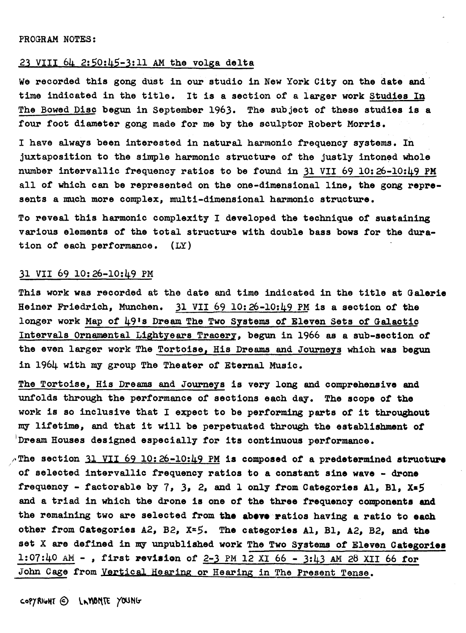## $23$  VIII 64  $2:50:45-3:11$  AM the volga delta

We recorded this gong dust in our studio in New York City on the date and time indicated in the title. It is a section of a larger work Studies In The Bowed Disc begun in September 1963. The subject of these studies is a four foot diameter gong made for me by the sculptor Robert Morris .

I have always been interested in natural harmonic frequency systems . In juxtaposition to the simple harmonic structure of the justly intoned whole number intervallic frequency ratios to be found in 31 VII 69 10:26-10:49 PM all of which can be represented on the one-dimensional line, the gong represents a much more complex, multi-dimensional harmonic structure .

To reveal this harmonic complexity <sup>I</sup> developed the technique of sustaining various elements of the total structure with double bass bows for the duration of each performance. (LY)

## 31 VII 69 10:26-10:49 PM

This work was recorded at the date and time indicated in the title at Galerie Heiner Friedrich, Munchen. 31 VII 69 10:26-10:49 PM is a section of the longer work Map of  $\mu$ 9's Dream The Two Systems of Eleven Sets of Galactic Intervals Ornamental Lightyears Tracery, begun in 1966 as a sub-section of the even larger work The Tortoise, His Dreams and Journeys which was begun in 1964 with my group The Theater of Eternal Music .

The Tortoise, His Dreams and Journeys is very long and comprehensive and unfolds through the performance of sections each day. The scope of the work is so inclusive that <sup>I</sup> expect to be performing parts of it throughout my lifetime, and that it will be perpetuated through the establishment of Dream Houses designed especially for its continuous performance .

 $\sqrt{T}$  The section 31 VII 69 10:26-10:49 PM is composed of a predetermined structure of selected intervallic frequency ratios to a constant sine wave - drone frequency - factorable by 7, 3, 2, and 1 only from Categories Al, Bl,  $X*5$ and a triad in which the drone is one of the three frequency components end the remaining two are selected from the above ratios having a ratio to each other from Categories A2, B2, X=5. The categories Al, B1, A2, B2, and the set X are defined in my unpublished work The Two Systems of Eleven Categories 1:07:40 AM - , first revision of 2-3 PM 12 XI 66 - 3:43 AM 28 XII 66 for John Cage from Vertical Hearing or Hearing in The Present Tense.